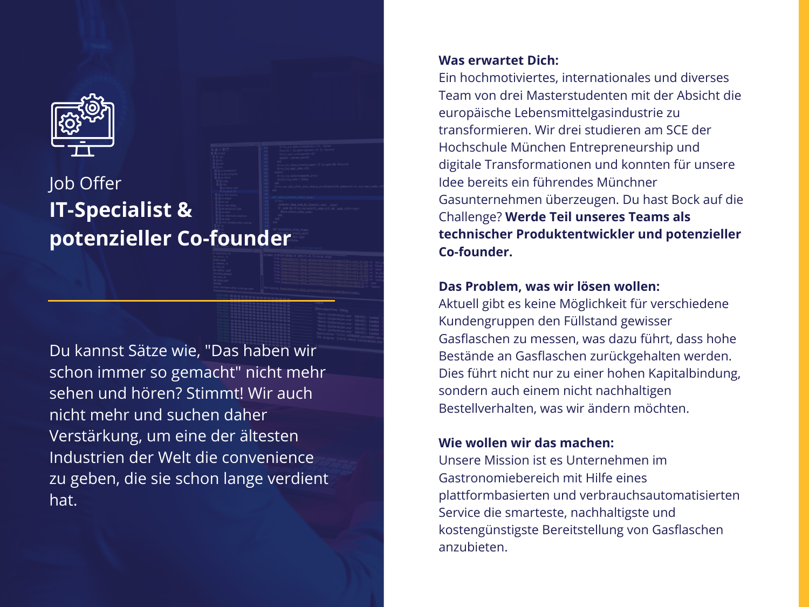

# Job Offer **IT-Specialist & potenzieller Co-founder**

Du kannst Sätze wie, "Das haben wir schon immer so gemacht" nicht mehr sehen und hören? Stimmt! Wir auch nicht mehr und suchen daher Verstärkung, um eine der ältesten Industrien der Welt die convenience zu geben, die sie schon lange verdient hat.

### **Was erwartet Dich:**

Ein hochmotiviertes, internationales und diverses Team von drei Masterstudenten mit der Absicht die europäische Lebensmittelgasindustrie zu transformieren. Wir drei studieren am SCE der Hochschule München Entrepreneurship und digitale Transformationen und konnten für unsere Idee bereits ein führendes Münchner Gasunternehmen überzeugen. Du hast Bock auf die Challenge? **Werde Teil unseres Teams als technischer Produktentwickler und potenzieller Co-founder.**

## **Das Problem, was wir lösen wollen:**

Aktuell gibt es keine Möglichkeit für verschiedene Kundengruppen den Füllstand gewisser Gasflaschen zu messen, was dazu führt, dass hohe Bestände an Gasflaschen zurückgehalten werden. Dies führt nicht nur zu einer hohen Kapitalbindung, sondern auch einem nicht nachhaltigen Bestellverhalten, was wir ändern möchten.

# **Wie wollen wir das machen:**

Unsere Mission ist es Unternehmen im Gastronomiebereich mit Hilfe eines plattformbasierten und verbrauchsautomatisierten Service die smarteste, nachhaltigste und kostengünstigste Bereitstellung von Gasflaschen anzubieten.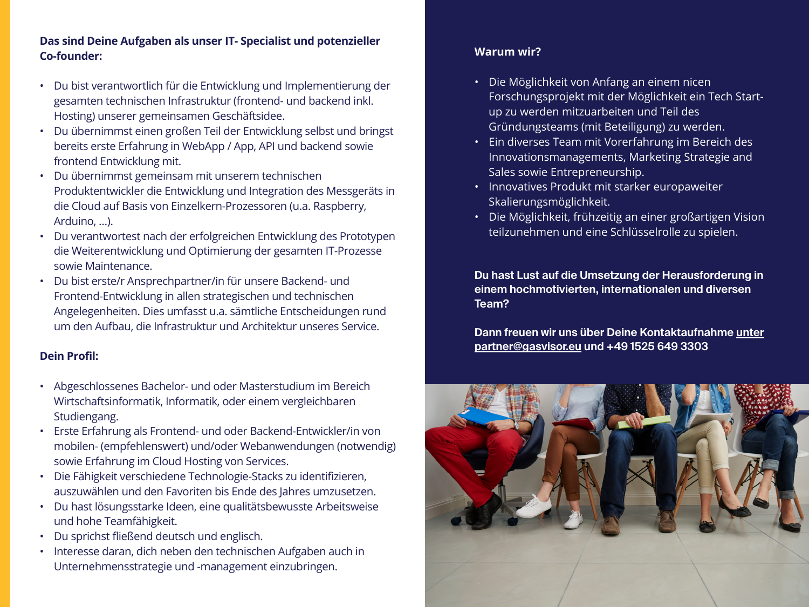### **Das sind Deine Aufgaben als unser IT- Specialist und potenzieller Co-founder:**

- Du bist verantwortlich für die Entwicklung und Implementierung der gesamten technischen Infrastruktur (frontend- und backend inkl. Hosting) unserer gemeinsamen Geschäftsidee.
- Du übernimmst einen großen Teil der Entwicklung selbst und bringst bereits erste Erfahrung in WebApp / App, API und backend sowie frontend Entwicklung mit.
- Du übernimmst gemeinsam mit unserem technischen Produktentwickler die Entwicklung und Integration des Messgeräts in die Cloud auf Basis von Einzelkern-Prozessoren (u.a. Raspberry, Arduino, …).
- Du verantwortest nach der erfolgreichen Entwicklung des Prototypen die Weiterentwicklung und Optimierung der gesamten IT-Prozesse sowie Maintenance.
- Du bist erste/r Ansprechpartner/in für unsere Backend- und Frontend-Entwicklung in allen strategischen und technischen Angelegenheiten. Dies umfasst u.a. sämtliche Entscheidungen rund um den Aufbau, die Infrastruktur und Architektur unseres Service.

### **Dein Profil:**

- Abgeschlossenes Bachelor- und oder Masterstudium im Bereich Wirtschaftsinformatik, Informatik, oder einem vergleichbaren Studiengang.
- Erste Erfahrung als Frontend- und oder Backend-Entwickler/in von mobilen- (empfehlenswert) und/oder Webanwendungen (notwendig) sowie Erfahrung im Cloud Hosting von Services.
- Die Fähigkeit verschiedene Technologie-Stacks zu identifizieren, auszuwählen und den Favoriten bis Ende des Jahres umzusetzen.
- Du hast lösungsstarke Ideen, eine qualitätsbewusste Arbeitsweise und hohe Teamfähigkeit.
- Du sprichst fließend deutsch und englisch.
- Interesse daran, dich neben den technischen Aufgaben auch in Unternehmensstrategie und -management einzubringen.

#### **Warum wir?**

- Die Möglichkeit von Anfang an einem nicen Forschungsprojekt mit der Möglichkeit ein Tech Startup zu werden mitzuarbeiten und Teil des Gründungsteams (mit Beteiligung) zu werden.
- Ein diverses Team mit Vorerfahrung im Bereich des Innovationsmanagements, Marketing Strategie and Sales sowie Entrepreneurship.
- Innovatives Produkt mit starker europaweiter Skalierungsmöglichkeit.
- Die Möglichkeit, frühzeitig an einer großartigen Vision teilzunehmen und eine Schlüsselrolle zu spielen.

**Du hast Lust auf die Umsetzung der Herausforderung in einem hochmotivierten, internationalen und diversen Team?**

**Dann freuen wir uns über Deine Kontaktaufnahme unter partner@gasvisor.eu und +49 1525 649 3303**

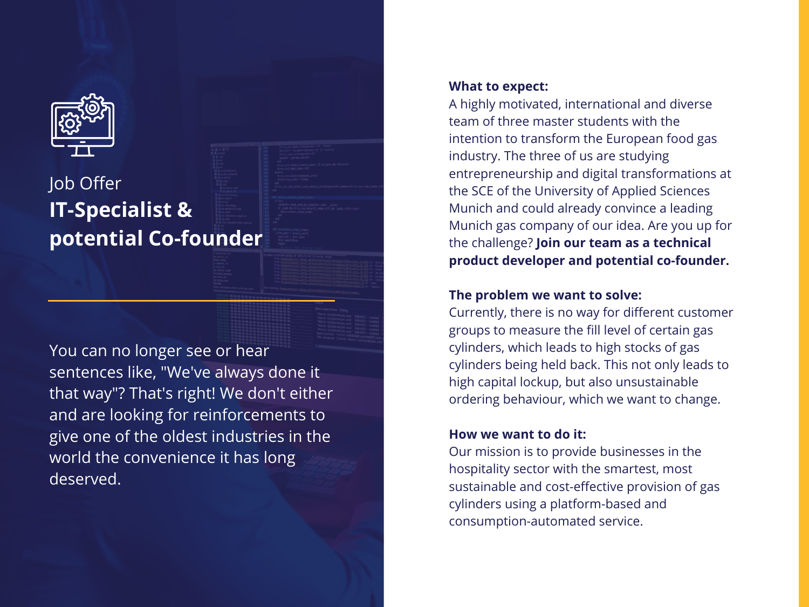

# Job Offer **IT-Specialist & potential Co-founder**

You can no longer see or hear sentences like, "We've always done it that way"? That's right! We don't either and are looking for reinforcements to give one of the oldest industries in the world the convenience it has long deserved.

#### **What to expect:**

A highly motivated, international and diverse team of three master students with the intention to transform the European food gas industry. The three of us are studying entrepreneurship and digital transformations at the SCE of the University of Applied Sciences Munich and could already convince a leading Munich gas company of our idea. Are you up for the challenge? **Join our team as a technical product developer and potential co-founder.**

# **The problem we want to solve:**

Currently, there is no way for different customer groups to measure the fill level of certain gas cylinders, which leads to high stocks of gas cylinders being held back. This not only leads to high capital lockup, but also unsustainable ordering behaviour, which we want to change.

# **How we want to do it:**

Our mission is to provide businesses in the hospitality sector with the smartest, most sustainable and cost-effective provision of gas cylinders using a platform-based and consumption-automated service.